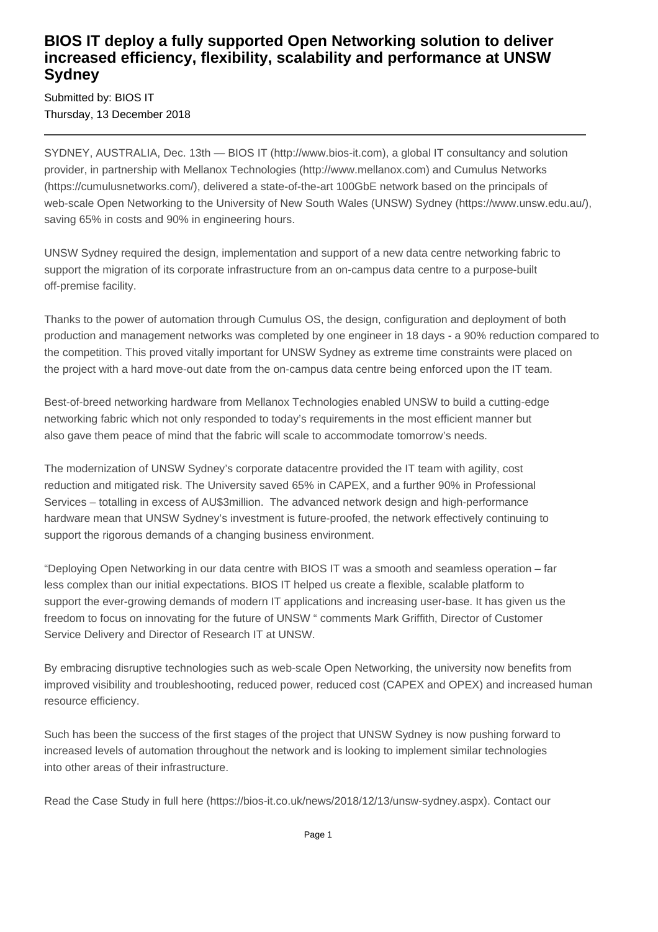## **BIOS IT deploy a fully supported Open Networking solution to deliver increased efficiency, flexibility, scalability and performance at UNSW Sydney**

Submitted by: BIOS IT Thursday, 13 December 2018

SYDNEY, AUSTRALIA, Dec. 13th — BIOS IT (http://www.bios-it.com), a global IT consultancy and solution provider, in partnership with Mellanox Technologies (http://www.mellanox.com) and Cumulus Networks (https://cumulusnetworks.com/), delivered a state-of-the-art 100GbE network based on the principals of web-scale Open Networking to the University of New South Wales (UNSW) Sydney (https://www.unsw.edu.au/), saving 65% in costs and 90% in engineering hours.

UNSW Sydney required the design, implementation and support of a new data centre networking fabric to support the migration of its corporate infrastructure from an on-campus data centre to a purpose-built off-premise facility.

Thanks to the power of automation through Cumulus OS, the design, configuration and deployment of both production and management networks was completed by one engineer in 18 days - a 90% reduction compared to the competition. This proved vitally important for UNSW Sydney as extreme time constraints were placed on the project with a hard move-out date from the on-campus data centre being enforced upon the IT team.

Best-of-breed networking hardware from Mellanox Technologies enabled UNSW to build a cutting-edge networking fabric which not only responded to today's requirements in the most efficient manner but also gave them peace of mind that the fabric will scale to accommodate tomorrow's needs.

The modernization of UNSW Sydney's corporate datacentre provided the IT team with agility, cost reduction and mitigated risk. The University saved 65% in CAPEX, and a further 90% in Professional Services – totalling in excess of AU\$3million. The advanced network design and high-performance hardware mean that UNSW Sydney's investment is future-proofed, the network effectively continuing to support the rigorous demands of a changing business environment.

"Deploying Open Networking in our data centre with BIOS IT was a smooth and seamless operation – far less complex than our initial expectations. BIOS IT helped us create a flexible, scalable platform to support the ever-growing demands of modern IT applications and increasing user-base. It has given us the freedom to focus on innovating for the future of UNSW " comments Mark Griffith, Director of Customer Service Delivery and Director of Research IT at UNSW.

By embracing disruptive technologies such as web-scale Open Networking, the university now benefits from improved visibility and troubleshooting, reduced power, reduced cost (CAPEX and OPEX) and increased human resource efficiency.

Such has been the success of the first stages of the project that UNSW Sydney is now pushing forward to increased levels of automation throughout the network and is looking to implement similar technologies into other areas of their infrastructure.

Read the Case Study in full here (https://bios-it.co.uk/news/2018/12/13/unsw-sydney.aspx). Contact our